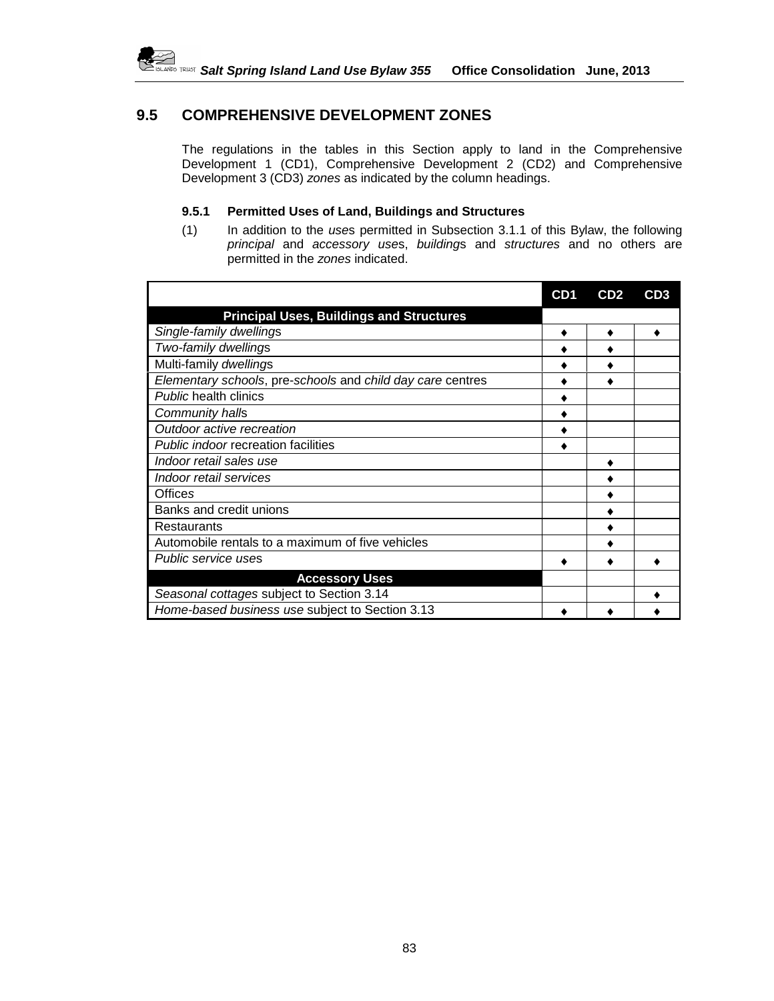

## **9.5 COMPREHENSIVE DEVELOPMENT ZONES**

The regulations in the tables in this Section apply to land in the Comprehensive Development 1 (CD1), Comprehensive Development 2 (CD2) and Comprehensive Development 3 (CD3) *zones* as indicated by the column headings.

## **9.5.1 Permitted Uses of Land, Buildings and Structures**

(1) In addition to the *use*s permitted in Subsection 3.1.1 of this Bylaw, the following *principal* and *accessory use*s, *building*s and *structures* and no others are permitted in the *zones* indicated.

|                                                            | CD <sub>1</sub> | CD2 | CD <sub>3</sub> |
|------------------------------------------------------------|-----------------|-----|-----------------|
| <b>Principal Uses, Buildings and Structures</b>            |                 |     |                 |
| Single-family dwellings                                    |                 |     |                 |
| Two-family dwellings                                       |                 |     |                 |
| Multi-family dwellings                                     |                 |     |                 |
| Elementary schools, pre-schools and child day care centres |                 |     |                 |
| <b>Public health clinics</b>                               |                 |     |                 |
| Community halls                                            |                 |     |                 |
| Outdoor active recreation                                  |                 |     |                 |
| Public indoor recreation facilities                        |                 |     |                 |
| Indoor retail sales use                                    |                 |     |                 |
| Indoor retail services                                     |                 |     |                 |
| <b>Offices</b>                                             |                 |     |                 |
| Banks and credit unions                                    |                 |     |                 |
| Restaurants                                                |                 |     |                 |
| Automobile rentals to a maximum of five vehicles           |                 |     |                 |
| Public service uses                                        |                 |     |                 |
| <b>Accessory Uses</b>                                      |                 |     |                 |
| Seasonal cottages subject to Section 3.14                  |                 |     |                 |
| Home-based business use subject to Section 3.13            |                 |     |                 |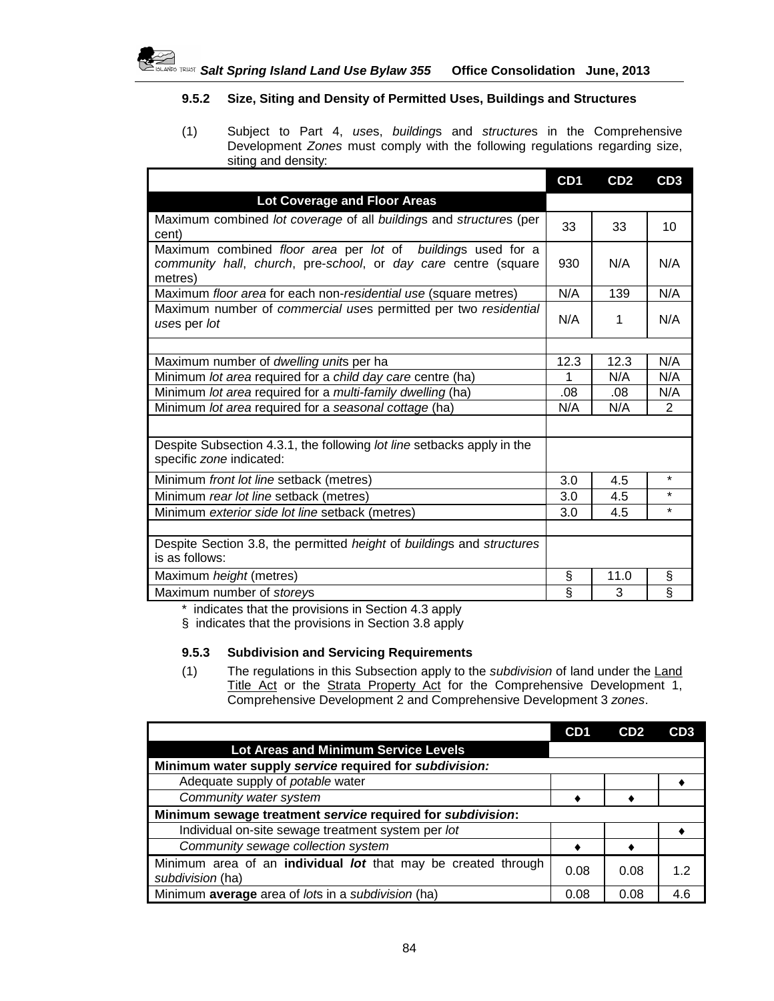

## **9.5.2 Size, Siting and Density of Permitted Uses, Buildings and Structures**

(1) Subject to Part 4, *use*s, *building*s and *structure*s in the Comprehensive Development *Zones* must comply with the following regulations regarding size, siting and density:

|                                                                                                                                          | CD <sub>1</sub> | CD2  | CD3     |
|------------------------------------------------------------------------------------------------------------------------------------------|-----------------|------|---------|
| <b>Lot Coverage and Floor Areas</b>                                                                                                      |                 |      |         |
| Maximum combined lot coverage of all buildings and structures (per<br>cent)                                                              | 33              | 33   | 10      |
| Maximum combined floor area per lot of buildings used for a<br>community hall, church, pre-school, or day care centre (square<br>metres) | 930             | N/A  | N/A     |
| Maximum floor area for each non-residential use (square metres)                                                                          | N/A             | 139  | N/A     |
| Maximum number of commercial uses permitted per two residential<br>uses per lot                                                          | N/A             | 1    | N/A     |
|                                                                                                                                          |                 |      |         |
| Maximum number of dwelling units per ha                                                                                                  | 12.3            | 12.3 | N/A     |
| Minimum lot area required for a child day care centre (ha)                                                                               | 1               | N/A  | N/A     |
| Minimum lot area required for a multi-family dwelling (ha)                                                                               | .08             | .08  | N/A     |
| Minimum lot area required for a seasonal cottage (ha)                                                                                    | N/A             | N/A  | 2       |
|                                                                                                                                          |                 |      |         |
| Despite Subsection 4.3.1, the following lot line setbacks apply in the<br>specific zone indicated:                                       |                 |      |         |
| Minimum front lot line setback (metres)                                                                                                  | 3.0             | 4.5  | $\star$ |
| Minimum rear lot line setback (metres)                                                                                                   | 3.0             | 4.5  | $\star$ |
| Minimum exterior side lot line setback (metres)                                                                                          | 3.0             | 4.5  | $\star$ |
|                                                                                                                                          |                 |      |         |
| Despite Section 3.8, the permitted <i>height</i> of <i>buildings</i> and <i>structures</i><br>is as follows:                             |                 |      |         |
| Maximum height (metres)                                                                                                                  | Ş               | 11.0 | Ş       |
| Maximum number of storeys                                                                                                                | ş               | 3    | $\S$    |

\* indicates that the provisions in Section 4.3 apply

§ indicates that the provisions in Section 3.8 apply

## **9.5.3 Subdivision and Servicing Requirements**

(1) The regulations in this Subsection apply to the *subdivision* of land under the Land Title Act or the Strata Property Act for the Comprehensive Development 1, Comprehensive Development 2 and Comprehensive Development 3 *zones*.

|                                                                                          | CD <sub>1</sub> | CD2  | CD3 |  |  |
|------------------------------------------------------------------------------------------|-----------------|------|-----|--|--|
| Lot Areas and Minimum Service Levels                                                     |                 |      |     |  |  |
| Minimum water supply service required for subdivision:                                   |                 |      |     |  |  |
| Adequate supply of potable water                                                         |                 |      |     |  |  |
| Community water system                                                                   |                 |      |     |  |  |
| Minimum sewage treatment service required for subdivision:                               |                 |      |     |  |  |
| Individual on-site sewage treatment system per lot                                       |                 |      |     |  |  |
| Community sewage collection system                                                       |                 |      |     |  |  |
| Minimum area of an individual <i>lot</i> that may be created through<br>subdivision (ha) | 0.08            | 0.08 | 12  |  |  |
| Minimum average area of lots in a subdivision (ha)                                       | 0.08            | 0.08 | 4 6 |  |  |